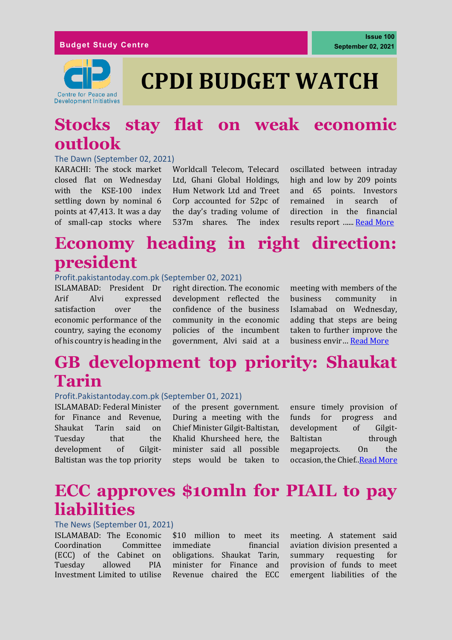#### **Budget Study Centre**



# **CPDI BUDGET WATCH**

### **Stocks stay flat on weak economic outlook**

#### The Dawn (September 02, 2021)

KARACHI: The stock market closed flat on Wednesday with the KSE-100 index settling down by nominal 6 points at 47,413. It was a day of small-cap stocks where

Worldcall Telecom, Telecard Ltd, Ghani Global Holdings, Hum Network Ltd and Treet Corp accounted for 52pc of the day's trading volume of 537m shares. The index

oscillated between intraday high and low by 209 points and 65 points. Investors remained in search of direction in the financial results report ...... [Read More](https://www.dawn.com/news/1644019)

### **Economy heading in right direction: president**

#### Profit.pakistantoday.com.pk (September 02, 2021)

ISLAMABAD: President Dr Arif Alvi expressed satisfaction over the economic performance of the country, saying the economy of his country is heading in the

right direction. The economic development reflected the confidence of the business community in the economic policies of the incumbent government, Alvi said at a

meeting with members of the business community Islamabad on Wednesday, adding that steps are being taken to further improve the business envir… [Read More](https://profit.pakistantoday.com.pk/2021/09/02/economy-heading-in-right-direction-president/)

# **GB development top priority: Shaukat Tarin**

#### Profit.Pakistantoday.com.pk (September 01, 2021)

ISLAMABAD: Federal Minister for Finance and Revenue, Shaukat Tarin said on Tuesday that the development of Gilgit-Baltistan was the top priority

of the present government. During a meeting with the Chief Minister Gilgit-Baltistan, Khalid Khursheed here, the minister said all possible steps would be taken to

ensure timely provision of funds for progress and development of Gilgit-Baltistan through megaprojects. On the occasion, the Chief.[.Read More](https://profit.pakistantoday.com.pk/2021/09/01/gb-development-top-priority-shaukat-tarin/)

### **ECC approves \$10mln for PIAIL to pay liabilities**

#### The News (September 01, 2021)

ISLAMABAD: The Economic Coordination Committee (ECC) of the Cabinet on Tuesday allowed PIA Investment Limited to utilise

\$10 million to meet its immediate financial obligations. Shaukat Tarin, minister for Finance and Revenue chaired the ECC meeting. A statement said aviation division presented a summary requesting for provision of funds to meet emergent liabilities of the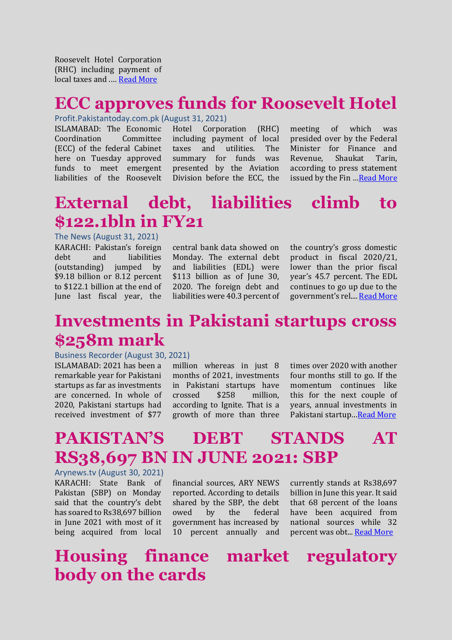Roosevelt Hotel Corporation (RHC) including payment of local taxes and .… [Read More](https://www.thenews.com.pk/print/886138-ecc-approves-10mln-for-piail-to-pay-liabilities)

#### **ECC approves funds for Roosevelt Hotel**

#### Profit.Pakistantoday.com.pk (August 31, 2021)

ISLAMABAD: The Economic Coordination Committee (ECC) of the federal Cabinet here on Tuesday approved funds to meet emergent liabilities of the Roosevelt

Hotel Corporation (RHC) including payment of local taxes and utilities. The summary for funds was presented by the Aviation Division before the ECC, the

meeting of which was presided over by the Federal Minister for Finance and Revenue, Shaukat Tarin, according to press statement issued by the Fin …[Read More](https://profit.pakistantoday.com.pk/2021/08/31/ecc-approves-funds-for-roosevelt-hotel/)

### **External debt, liabilities climb to \$122.1bln in FY21**

The News (August 31, 2021) KARACHI: Pakistan's foreign debt and liabilities (outstanding) jumped by \$9.18 billion or 8.12 percent to \$122.1 billion at the end of June last fiscal year, the

central bank data showed on Monday. The external debt and liabilities (EDL) were \$113 billion as of June 30, 2020. The foreign debt and liabilities were 40.3 percent of the country's gross domestic product in fiscal 2020/21, lower than the prior fiscal year's 45.7 percent. The EDL continues to go up due to the government's rel.... [Read More](https://www.thenews.com.pk/print/885627-external-debt-liabilities-climb-to-122-1bln-in-fy21)

### **Investments in Pakistani startups cross \$258m mark**

#### Business Recorder (August 30, 2021)

ISLAMABAD: 2021 has been a remarkable year for Pakistani startups as far as investments are concerned. In whole of 2020, Pakistani startups had received investment of \$77

million whereas in just 8 months of 2021, investments in Pakistani startups have crossed \$258 million, according to Ignite. That is a growth of more than three

times over 2020 with another four months still to go. If the momentum continues like this for the next couple of years, annual investments in Pakistani startup…[Read More](https://www.brecorder.com/news/40116425)

## **PAKISTAN'S DEBT STANDS AT RS38,697 BN IN JUNE 2021: SBP**

Arynews.tv (August 30, 2021) KARACHI: State Bank of Pakistan (SBP) on Monday said that the country's debt has soared to Rs38,697 billion in June 2021 with most of it being acquired from local

financial sources, ARY NEWS reported. According to details shared by the SBP, the debt owed by the federal government has increased by 10 percent annually and

currently stands at Rs38,697 billion in June this year. It said that 68 percent of the loans have been acquired from national sources while 32 percent was obt... [Read More](https://arynews.tv/pakistan-debt-loan-sbp/)

**Housing finance market regulatory body on the cards**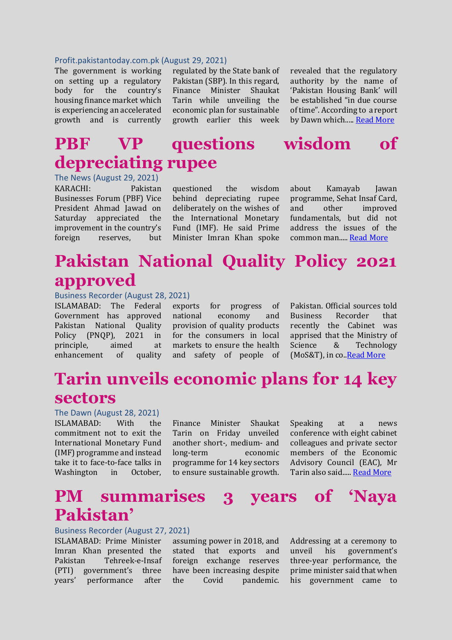#### Profit.pakistantoday.com.pk (August 29, 2021)

The government is working on setting up a regulatory body for the country's housing finance market which is experiencing an accelerated growth and is currently

regulated by the State bank of Pakistan (SBP). In this regard, Finance Minister Shaukat Tarin while unveiling the economic plan for sustainable growth earlier this week

revealed that the regulatory authority by the name of 'Pakistan Housing Bank' will be established "in due course of time". According to a report by Dawn which....[. Read More](https://profit.pakistantoday.com.pk/2021/08/29/housing-finance-market-regulatory-body-on-the-cards/)

### **PBF VP questions wisdom of depreciating rupee**

The News (August 29, 2021) KARACHI: Pakistan Businesses Forum (PBF) Vice President Ahmad Jawad on Saturday appreciated the improvement in the country's foreign reserves, but

questioned the wisdom behind depreciating rupee deliberately on the wishes of the International Monetary Fund (IMF). He said Prime Minister Imran Khan spoke about Kamayab Jawan programme, Sehat Insaf Card, and other improved fundamentals, but did not address the issues of the common man....[. Read More](https://www.thenews.com.pk/print/884809-pbf-vp-questions-wisdom-of-depreciating-rupee)

### **Pakistan National Quality Policy 2021 approved**

#### Business Recorder (August 28, 2021)

ISLAMABAD: The Federal Government has approved Pakistan National Quality Policy (PNQP), 2021 in principle, aimed at enhancement of quality

exports for progress of national economy and provision of quality products for the consumers in local markets to ensure the health and safety of people of

Pakistan. Official sources told Business Recorder that recently the Cabinet was apprised that the Ministry of Science & Technology (MoS&T), in co.[.Read More](https://www.brecorder.com/news/40116329)

### **Tarin unveils economic plans for 14 key sectors**

#### The Dawn (August 28, 2021)

ISLAMABAD: With the commitment not to exit the International Monetary Fund (IMF) programme and instead take it to face-to-face talks in Washington in October,

Finance Minister Shaukat Tarin on Friday unveiled another short-, medium- and long-term economic programme for 14 key sectors to ensure sustainable growth.

Speaking at a news conference with eight cabinet colleagues and private sector members of the Economic Advisory Council (EAC), Mr Tarin also said..... [Read More](https://www.dawn.com/news/1643027)

### **PM summarises 3 years of 'Naya Pakistan'**

#### Business Recorder (August 27, 2021)

ISLAMABAD: Prime Minister Imran Khan presented the Pakistan Tehreek-e-Insaf (PTI) government's three years' performance after

assuming power in 2018, and stated that exports and foreign exchange reserves have been increasing despite the Covid pandemic.

Addressing at a ceremony to unveil his government's three-year performance, the prime minister said that when his government came to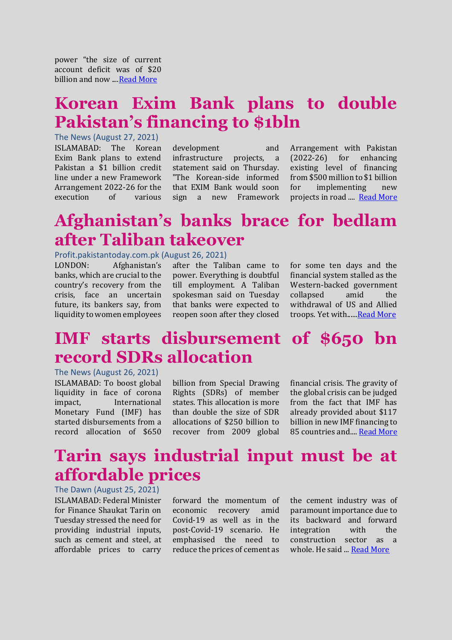power "the size of current account deficit was of \$20 billion and now ..[..Read More](https://www.brecorder.com/news/40116114)

### **Korean Exim Bank plans to double Pakistan's financing to \$1bln**

The News (August 27, 2021) ISLAMABAD: The Korean Exim Bank plans to extend Pakistan a \$1 billion credit line under a new Framework Arrangement 2022-26 for the execution of various

development and infrastructure projects, a statement said on Thursday. "The Korean-side informed that EXIM Bank would soon sign a new Framework

Arrangement with Pakistan (2022-26) for enhancing existing level of financing from \$500 million to \$1 billion for implementing new projects in road .... [Read More](https://www.thenews.com.pk/print/883609-korean-exim-bank-plans-to-double-pakistan-s-financing-to-1bln)

# **Afghanistan's banks brace for bedlam after Taliban takeover**

#### Profit.pakistantoday.com.pk (August 26, 2021)

LONDON: Afghanistan's banks, which are crucial to the country's recovery from the crisis, face an uncertain future, its bankers say, from liquidity to women employees

after the Taliban came to power. Everything is doubtful till employment. A Taliban spokesman said on Tuesday that banks were expected to reopen soon after they closed

for some ten days and the financial system stalled as the Western-backed government collapsed amid the withdrawal of US and Allied troops. Yet with.....[.Read More](https://profit.pakistantoday.com.pk/2021/08/26/128342/)

### **IMF starts disbursement of \$650 bn record SDRs allocation**

#### The News (August 26, 2021)

ISLAMABAD: To boost global liquidity in face of corona impact, International Monetary Fund (IMF) has started disbursements from a record allocation of \$650

billion from Special Drawing Rights (SDRs) of member states. This allocation is more than double the size of SDR allocations of \$250 billion to recover from 2009 global financial crisis. The gravity of the global crisis can be judged from the fact that IMF has already provided about \$117 billion in new IMF financing to 85 countries and...[. Read More](https://www.thenews.com.pk/print/883381-imf-starts-disbursement-of-650-bn-record-sdrs-allocation)

### **Tarin says industrial input must be at affordable prices**

The Dawn (August 25, 2021) ISLAMABAD: Federal Minister for Finance Shaukat Tarin on Tuesday stressed the need for providing industrial inputs, such as cement and steel, at affordable prices to carry

forward the momentum of economic recovery amid Covid-19 as well as in the post-Covid-19 scenario. He emphasised the need to reduce the prices of cement as the cement industry was of paramount importance due to its backward and forward integration with the construction sector as a whole. He said ... [Read More](https://www.dawn.com/news/1642489)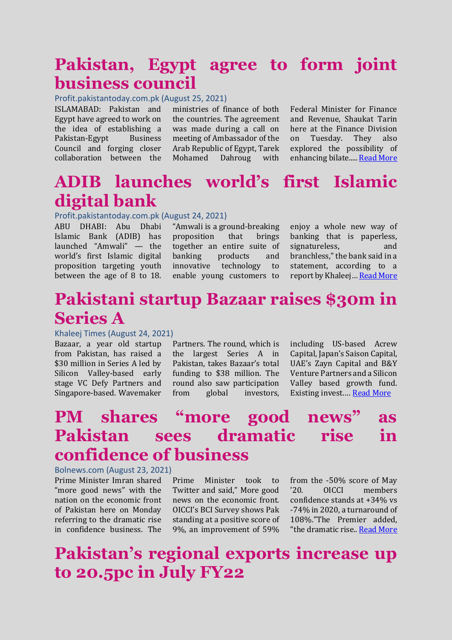### **Pakistan, Egypt agree to form joint business council**

#### Profit.pakistantoday.com.pk (August 25, 2021)

ISLAMABAD: Pakistan and Egypt have agreed to work on the idea of establishing a Pakistan-Egypt Business Council and forging closer collaboration between the

ministries of finance of both the countries. The agreement was made during a call on meeting of Ambassador of the Arab Republic of Egypt, Tarek Mohamed Dahroug with

Federal Minister for Finance and Revenue, Shaukat Tarin here at the Finance Division on Tuesday. They also explored the possibility of enhancing bilate....[. Read More](https://profit.pakistantoday.com.pk/2021/08/25/pakistan-egypt-agree-to-form-joint-business-council/)

### **ADIB launches world's first Islamic digital bank**

#### Profit.pakistantoday.com.pk (August 24, 2021)

ABU DHABI: Abu Dhabi Islamic Bank (ADIB) has launched "Amwali" — the world's first Islamic digital proposition targeting youth between the age of 8 to 18.

"Amwali is a ground-breaking proposition that brings together an entire suite of banking products and innovative technology to enable young customers to

enjoy a whole new way of banking that is paperless, signatureless, and branchless," the bank said in a statement, according to a report by Khaleej… [Read More](https://profit.pakistantoday.com.pk/2021/08/24/adib-launches-worlds-first-islamic-digital-bank/)

### **Pakistani startup Bazaar raises \$30m in Series A**

#### Khaleej Times (August 24, 2021)

Bazaar, a year old startup from Pakistan, has raised a \$30 million in Series A led by Silicon Valley-based early stage VC Defy Partners and Singapore-based. Wavemaker

Partners. The round, which is the largest Series A in Pakistan, takes Bazaar's total funding to \$38 million. The round also saw participation from global investors,

including US-based Acrew Capital, Japan's Saison Capital, UAE's Zayn Capital and B&Y Venture Partners and a Silicon Valley based growth fund. Existing invest.… [Read More](https://www.khaleejtimes.com/business/pakistani-startup-bazaar-raises-30m-in-series-a)

### **PM shares "more good news" as Pakistan sees dramatic rise in confidence of business**

#### Bolnews.com (August 23, 2021)

Prime Minister Imran shared "more good news" with the nation on the economic front of Pakistan here on Monday referring to the dramatic rise in confidence business. The

Prime Minister took to Twitter and said," More good news on the economic front. OICCI's BCI Survey shows Pak standing at a positive score of 9%, an improvement of 59%

from the -50% score of May '20. OICCI members confidence stands at +34% vs -74% in 2020, a turnaround of 108%."The Premier added, "the dramatic rise.. [Read More](https://www.bolnews.com/pakistan/2021/08/pm-shares-more-good-news-as-pakistan-sees-dramatic-rise-in-confidence-of-business/)

### **Pakistan's regional exports increase up to 20.5pc in July FY22**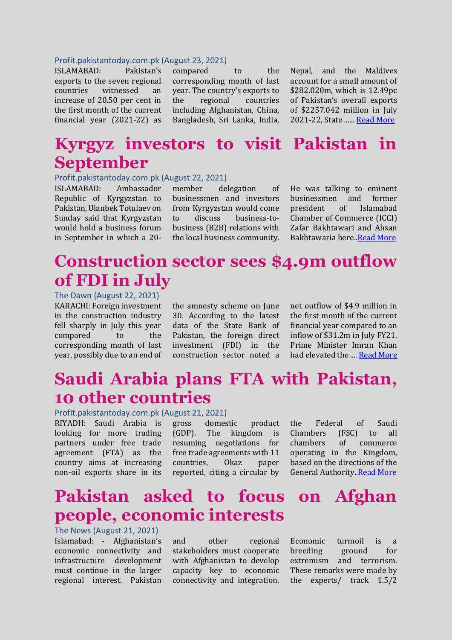#### Profit.pakistantoday.com.pk (August 23, 2021)

ISLAMABAD: Pakistan's exports to the seven regional countries witnessed an increase of 20.50 per cent in the first month of the current financial year (2021-22) as

compared to the corresponding month of last year. The country's exports to the regional countries including Afghanistan, China, Bangladesh, Sri Lanka, India,

Nepal, and the Maldives account for a small amount of \$282.020m, which is 12.49pc of Pakistan's overall exports of \$2257.042 million in July 2021-22, State .....[. Read More](https://profit.pakistantoday.com.pk/2021/08/23/pakistans-regional-exports-increase-20-50pc-in-july-2022/)

### **Kyrgyz investors to visit Pakistan in September**

#### Profit.pakistantoday.com.pk (August 22, 2021)

ISLAMABAD: Ambassador Republic of Kyrgyzstan to Pakistan, Ulanbek Totuiaev on Sunday said that Kyrgyzstan would hold a business forum in September in which a 20-

member delegation of businessmen and investors from Kyrgyzstan would come to discuss business-tobusiness (B2B) relations with the local business community. He was talking to eminent businessmen and former president of Islamabad Chamber of Commerce (ICCI) Zafar Bakhtawari and Ahsan Bakhtawaria here.[.Read More](https://profit.pakistantoday.com.pk/2021/08/22/kyrgyz-investors-to-visit-pakistan-in-september/)

### **Construction sector sees \$4.9m outflow of FDI in July**

#### The Dawn (August 22, 2021)

KARACHI: Foreign investment in the construction industry fell sharply in July this year compared to the corresponding month of last year, possibly due to an end of

the amnesty scheme on June 30. According to the latest data of the State Bank of Pakistan, the foreign direct investment (FDI) in the construction sector noted a net outflow of \$4.9 million in the first month of the current financial year compared to an inflow of \$31.2m in July FY21. Prime Minister Imran Khan had elevated the .... [Read More](https://www.dawn.com/news/1641933/construction-sector-sees-49m-outflow-of-fdi-in-july)

### **Saudi Arabia plans FTA with Pakistan, 10 other countries**

#### Profit.pakistantoday.com.pk (August 21, 2021)

RIYADH: Saudi Arabia is looking for more trading partners under free trade agreement (FTA) as the country aims at increasing non-oil exports share in its

gross domestic product (GDP). The kingdom is resuming negotiations for free trade agreements with 11 countries, Okaz paper reported, citing a circular by the Federal of Saudi Chambers (FSC) to all chambers of commerce operating in the Kingdom, based on the directions of the General Authority[..Read More](https://profit.pakistantoday.com.pk/2021/08/21/saudi-arabia-plans-fta-with-pakistan-10-other-countries/)

### **Pakistan asked to focus on Afghan people, economic interests**

#### The News (August 21, 2021)

Islamabad: - Afghanistan's economic connectivity and infrastructure development must continue in the larger regional interest. Pakistan

and other regional stakeholders must cooperate with Afghanistan to develop capacity key to economic connectivity and integration. Economic turmoil is a breeding ground for extremism and terrorism. These remarks were made by the experts/ track 1.5/2